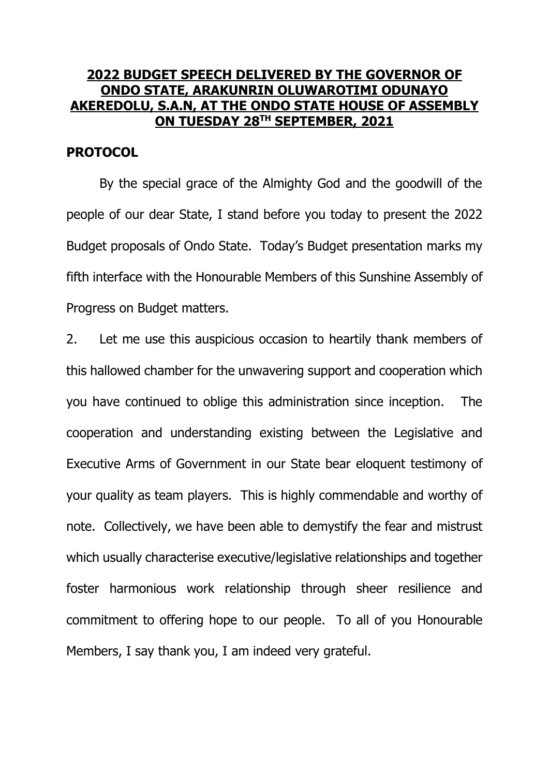# **2022 BUDGET SPEECH DELIVERED BY THE GOVERNOR OF ONDO STATE, ARAKUNRIN OLUWAROTIMI ODUNAYO AKEREDOLU, S.A.N, AT THE ONDO STATE HOUSE OF ASSEMBLY ON TUESDAY 28TH SEPTEMBER, 2021**

## **PROTOCOL**

By the special grace of the Almighty God and the goodwill of the people of our dear State, I stand before you today to present the 2022 Budget proposals of Ondo State. Today's Budget presentation marks my fifth interface with the Honourable Members of this Sunshine Assembly of Progress on Budget matters.

2. Let me use this auspicious occasion to heartily thank members of this hallowed chamber for the unwavering support and cooperation which you have continued to oblige this administration since inception. The cooperation and understanding existing between the Legislative and Executive Arms of Government in our State bear eloquent testimony of your quality as team players. This is highly commendable and worthy of note. Collectively, we have been able to demystify the fear and mistrust which usually characterise executive/legislative relationships and together foster harmonious work relationship through sheer resilience and commitment to offering hope to our people. To all of you Honourable Members, I say thank you, I am indeed very grateful.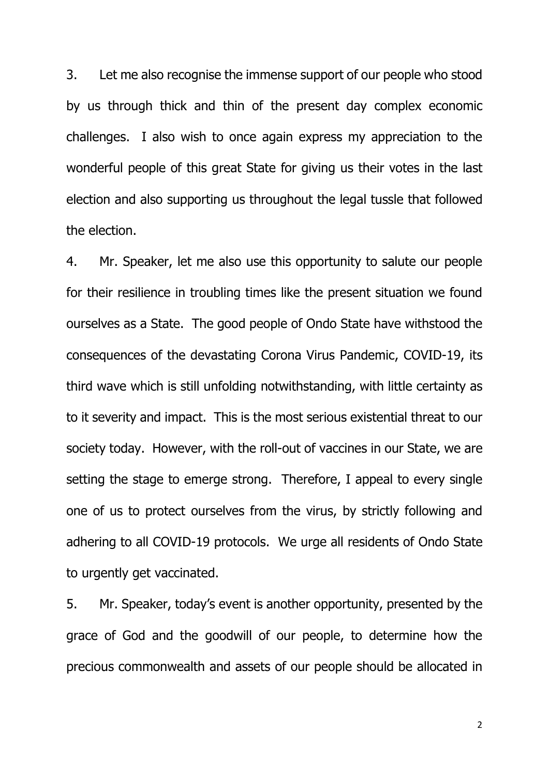3. Let me also recognise the immense support of our people who stood by us through thick and thin of the present day complex economic challenges. I also wish to once again express my appreciation to the wonderful people of this great State for giving us their votes in the last election and also supporting us throughout the legal tussle that followed the election.

4. Mr. Speaker, let me also use this opportunity to salute our people for their resilience in troubling times like the present situation we found ourselves as a State. The good people of Ondo State have withstood the consequences of the devastating Corona Virus Pandemic, COVID-19, its third wave which is still unfolding notwithstanding, with little certainty as to it severity and impact. This is the most serious existential threat to our society today. However, with the roll-out of vaccines in our State, we are setting the stage to emerge strong. Therefore, I appeal to every single one of us to protect ourselves from the virus, by strictly following and adhering to all COVID-19 protocols. We urge all residents of Ondo State to urgently get vaccinated.

5. Mr. Speaker, today's event is another opportunity, presented by the grace of God and the goodwill of our people, to determine how the precious commonwealth and assets of our people should be allocated in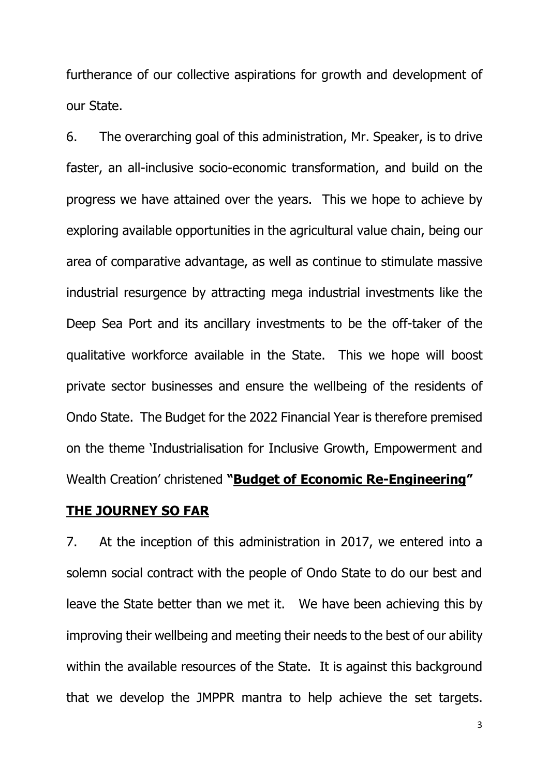furtherance of our collective aspirations for growth and development of our State.

6. The overarching goal of this administration, Mr. Speaker, is to drive faster, an all-inclusive socio-economic transformation, and build on the progress we have attained over the years. This we hope to achieve by exploring available opportunities in the agricultural value chain, being our area of comparative advantage, as well as continue to stimulate massive industrial resurgence by attracting mega industrial investments like the Deep Sea Port and its ancillary investments to be the off-taker of the qualitative workforce available in the State. This we hope will boost private sector businesses and ensure the wellbeing of the residents of Ondo State. The Budget for the 2022 Financial Year is therefore premised on the theme 'Industrialisation for Inclusive Growth, Empowerment and Wealth Creation' christened **"Budget of Economic Re-Engineering"**

## **THE JOURNEY SO FAR**

7. At the inception of this administration in 2017, we entered into a solemn social contract with the people of Ondo State to do our best and leave the State better than we met it. We have been achieving this by improving their wellbeing and meeting their needs to the best of our ability within the available resources of the State. It is against this background that we develop the JMPPR mantra to help achieve the set targets.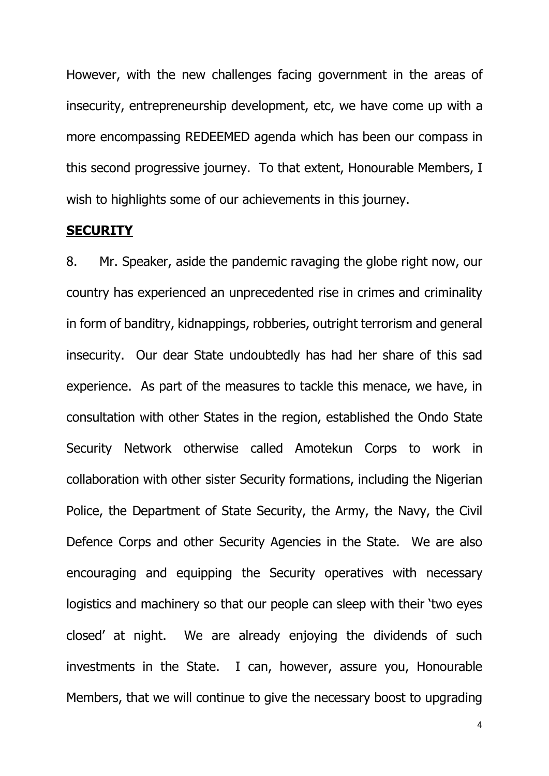However, with the new challenges facing government in the areas of insecurity, entrepreneurship development, etc, we have come up with a more encompassing REDEEMED agenda which has been our compass in this second progressive journey. To that extent, Honourable Members, I wish to highlights some of our achievements in this journey.

### **SECURITY**

8. Mr. Speaker, aside the pandemic ravaging the globe right now, our country has experienced an unprecedented rise in crimes and criminality in form of banditry, kidnappings, robberies, outright terrorism and general insecurity. Our dear State undoubtedly has had her share of this sad experience. As part of the measures to tackle this menace, we have, in consultation with other States in the region, established the Ondo State Security Network otherwise called Amotekun Corps to work in collaboration with other sister Security formations, including the Nigerian Police, the Department of State Security, the Army, the Navy, the Civil Defence Corps and other Security Agencies in the State. We are also encouraging and equipping the Security operatives with necessary logistics and machinery so that our people can sleep with their 'two eyes closed' at night. We are already enjoying the dividends of such investments in the State. I can, however, assure you, Honourable Members, that we will continue to give the necessary boost to upgrading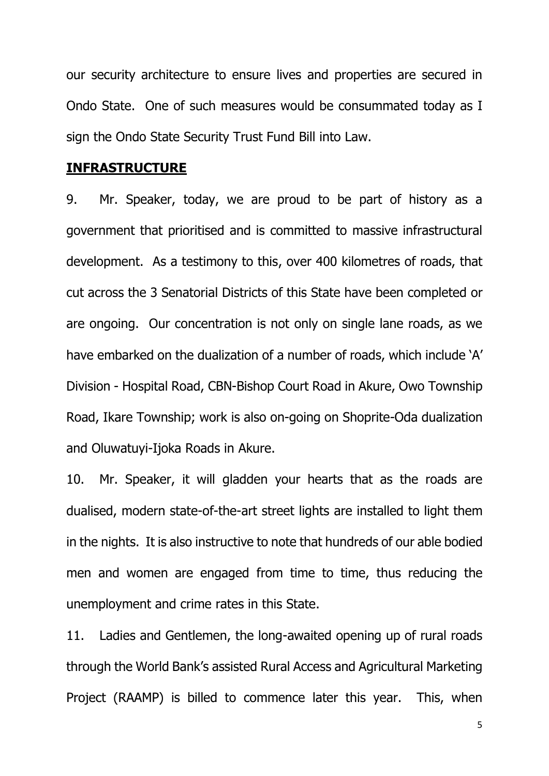our security architecture to ensure lives and properties are secured in Ondo State. One of such measures would be consummated today as I sign the Ondo State Security Trust Fund Bill into Law.

### **INFRASTRUCTURE**

9. Mr. Speaker, today, we are proud to be part of history as a government that prioritised and is committed to massive infrastructural development. As a testimony to this, over 400 kilometres of roads, that cut across the 3 Senatorial Districts of this State have been completed or are ongoing. Our concentration is not only on single lane roads, as we have embarked on the dualization of a number of roads, which include 'A' Division - Hospital Road, CBN-Bishop Court Road in Akure, Owo Township Road, Ikare Township; work is also on-going on Shoprite-Oda dualization and Oluwatuyi-Ijoka Roads in Akure.

10. Mr. Speaker, it will gladden your hearts that as the roads are dualised, modern state-of-the-art street lights are installed to light them in the nights. It is also instructive to note that hundreds of our able bodied men and women are engaged from time to time, thus reducing the unemployment and crime rates in this State.

11. Ladies and Gentlemen, the long-awaited opening up of rural roads through the World Bank's assisted Rural Access and Agricultural Marketing Project (RAAMP) is billed to commence later this year. This, when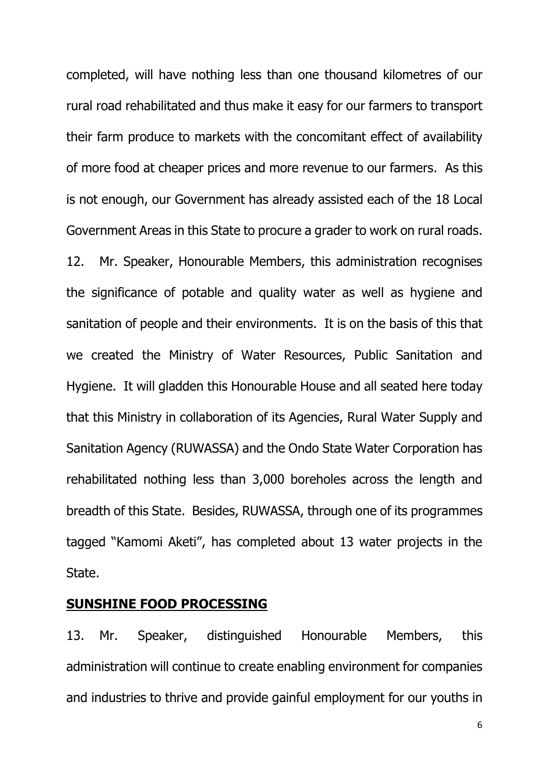completed, will have nothing less than one thousand kilometres of our rural road rehabilitated and thus make it easy for our farmers to transport their farm produce to markets with the concomitant effect of availability of more food at cheaper prices and more revenue to our farmers. As this is not enough, our Government has already assisted each of the 18 Local Government Areas in this State to procure a grader to work on rural roads. 12. Mr. Speaker, Honourable Members, this administration recognises the significance of potable and quality water as well as hygiene and sanitation of people and their environments. It is on the basis of this that we created the Ministry of Water Resources, Public Sanitation and Hygiene. It will gladden this Honourable House and all seated here today that this Ministry in collaboration of its Agencies, Rural Water Supply and Sanitation Agency (RUWASSA) and the Ondo State Water Corporation has rehabilitated nothing less than 3,000 boreholes across the length and breadth of this State. Besides, RUWASSA, through one of its programmes tagged "Kamomi Aketi", has completed about 13 water projects in the State.

# **SUNSHINE FOOD PROCESSING**

13. Mr. Speaker, distinguished Honourable Members, this administration will continue to create enabling environment for companies and industries to thrive and provide gainful employment for our youths in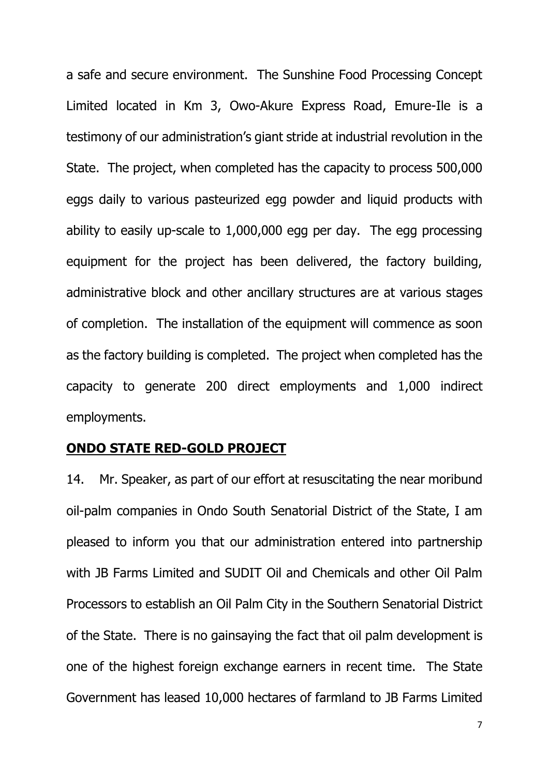a safe and secure environment. The Sunshine Food Processing Concept Limited located in Km 3, Owo-Akure Express Road, Emure-Ile is a testimony of our administration's giant stride at industrial revolution in the State. The project, when completed has the capacity to process 500,000 eggs daily to various pasteurized egg powder and liquid products with ability to easily up-scale to 1,000,000 egg per day. The egg processing equipment for the project has been delivered, the factory building, administrative block and other ancillary structures are at various stages of completion. The installation of the equipment will commence as soon as the factory building is completed. The project when completed has the capacity to generate 200 direct employments and 1,000 indirect employments.

### **ONDO STATE RED-GOLD PROJECT**

14. Mr. Speaker, as part of our effort at resuscitating the near moribund oil-palm companies in Ondo South Senatorial District of the State, I am pleased to inform you that our administration entered into partnership with JB Farms Limited and SUDIT Oil and Chemicals and other Oil Palm Processors to establish an Oil Palm City in the Southern Senatorial District of the State. There is no gainsaying the fact that oil palm development is one of the highest foreign exchange earners in recent time. The State Government has leased 10,000 hectares of farmland to JB Farms Limited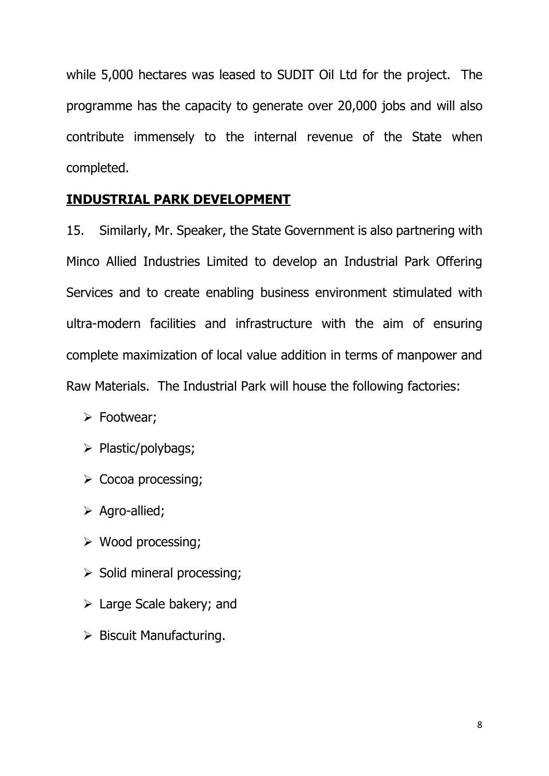while 5,000 hectares was leased to SUDIT Oil Ltd for the project. The programme has the capacity to generate over 20,000 jobs and will also contribute immensely to the internal revenue of the State when completed.

# **INDUSTRIAL PARK DEVELOPMENT**

15. Similarly, Mr. Speaker, the State Government is also partnering with Minco Allied Industries Limited to develop an Industrial Park Offering Services and to create enabling business environment stimulated with ultra-modern facilities and infrastructure with the aim of ensuring complete maximization of local value addition in terms of manpower and Raw Materials. The Industrial Park will house the following factories:

- > Footwear;
- $\triangleright$  Plastic/polybags;
- $\triangleright$  Cocoa processing;
- $\triangleright$  Agro-allied;
- Wood processing;
- $\triangleright$  Solid mineral processing;
- Large Scale bakery; and
- $\triangleright$  Biscuit Manufacturing.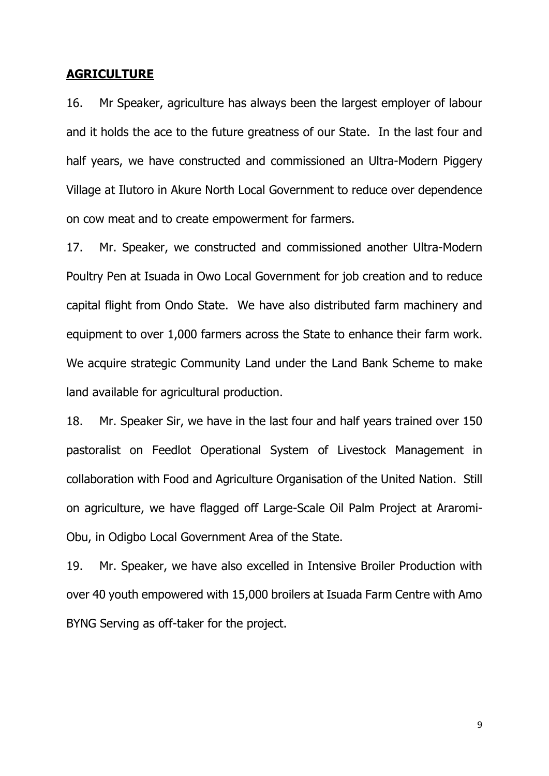#### **AGRICULTURE**

16. Mr Speaker, agriculture has always been the largest employer of labour and it holds the ace to the future greatness of our State. In the last four and half years, we have constructed and commissioned an Ultra-Modern Piggery Village at Ilutoro in Akure North Local Government to reduce over dependence on cow meat and to create empowerment for farmers.

17. Mr. Speaker, we constructed and commissioned another Ultra-Modern Poultry Pen at Isuada in Owo Local Government for job creation and to reduce capital flight from Ondo State. We have also distributed farm machinery and equipment to over 1,000 farmers across the State to enhance their farm work. We acquire strategic Community Land under the Land Bank Scheme to make land available for agricultural production.

18. Mr. Speaker Sir, we have in the last four and half years trained over 150 pastoralist on Feedlot Operational System of Livestock Management in collaboration with Food and Agriculture Organisation of the United Nation. Still on agriculture, we have flagged off Large-Scale Oil Palm Project at Araromi-Obu, in Odigbo Local Government Area of the State.

19. Mr. Speaker, we have also excelled in Intensive Broiler Production with over 40 youth empowered with 15,000 broilers at Isuada Farm Centre with Amo BYNG Serving as off-taker for the project.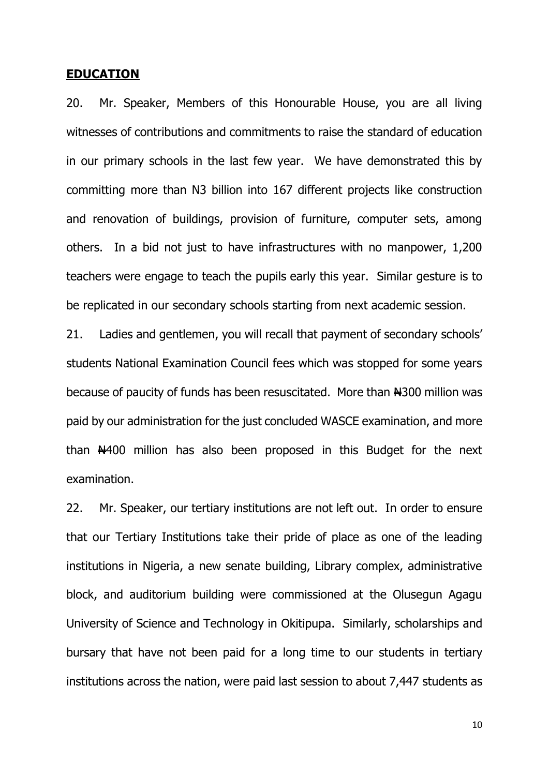#### **EDUCATION**

20. Mr. Speaker, Members of this Honourable House, you are all living witnesses of contributions and commitments to raise the standard of education in our primary schools in the last few year. We have demonstrated this by committing more than N3 billion into 167 different projects like construction and renovation of buildings, provision of furniture, computer sets, among others. In a bid not just to have infrastructures with no manpower, 1,200 teachers were engage to teach the pupils early this year. Similar gesture is to be replicated in our secondary schools starting from next academic session.

21. Ladies and gentlemen, you will recall that payment of secondary schools' students National Examination Council fees which was stopped for some years because of paucity of funds has been resuscitated. More than  $#300$  million was paid by our administration for the just concluded WASCE examination, and more than  $\frac{14400}{100}$  million has also been proposed in this Budget for the next examination.

22. Mr. Speaker, our tertiary institutions are not left out. In order to ensure that our Tertiary Institutions take their pride of place as one of the leading institutions in Nigeria, a new senate building, Library complex, administrative block, and auditorium building were commissioned at the Olusegun Agagu University of Science and Technology in Okitipupa. Similarly, scholarships and bursary that have not been paid for a long time to our students in tertiary institutions across the nation, were paid last session to about 7,447 students as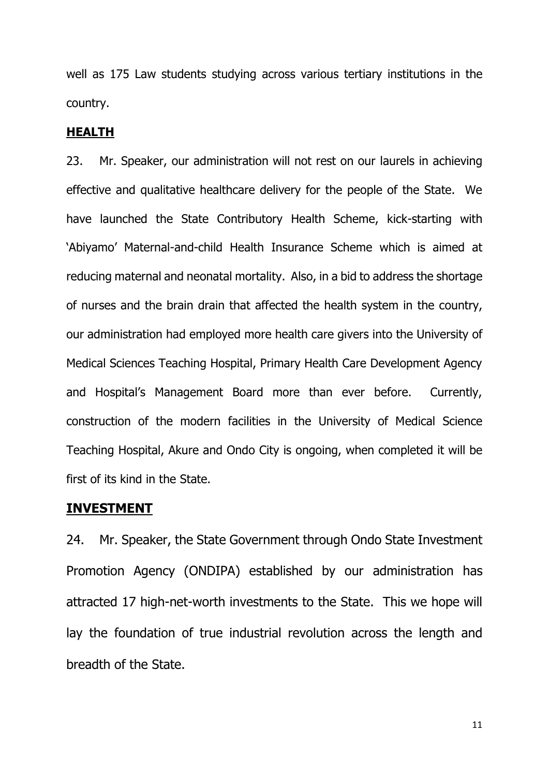well as 175 Law students studying across various tertiary institutions in the country.

#### **HEALTH**

23. Mr. Speaker, our administration will not rest on our laurels in achieving effective and qualitative healthcare delivery for the people of the State. We have launched the State Contributory Health Scheme, kick-starting with 'Abiyamo' Maternal-and-child Health Insurance Scheme which is aimed at reducing maternal and neonatal mortality. Also, in a bid to address the shortage of nurses and the brain drain that affected the health system in the country, our administration had employed more health care givers into the University of Medical Sciences Teaching Hospital, Primary Health Care Development Agency and Hospital's Management Board more than ever before. Currently, construction of the modern facilities in the University of Medical Science Teaching Hospital, Akure and Ondo City is ongoing, when completed it will be first of its kind in the State.

### **INVESTMENT**

24. Mr. Speaker, the State Government through Ondo State Investment Promotion Agency (ONDIPA) established by our administration has attracted 17 high-net-worth investments to the State. This we hope will lay the foundation of true industrial revolution across the length and breadth of the State.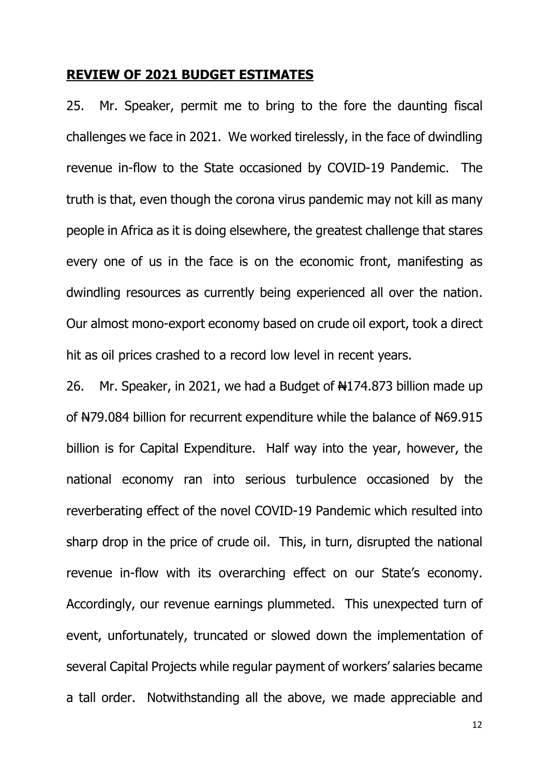#### **REVIEW OF 2021 BUDGET ESTIMATES**

25. Mr. Speaker, permit me to bring to the fore the daunting fiscal challenges we face in 2021. We worked tirelessly, in the face of dwindling revenue in-flow to the State occasioned by COVID-19 Pandemic. The truth is that, even though the corona virus pandemic may not kill as many people in Africa as it is doing elsewhere, the greatest challenge that stares every one of us in the face is on the economic front, manifesting as dwindling resources as currently being experienced all over the nation. Our almost mono-export economy based on crude oil export, took a direct hit as oil prices crashed to a record low level in recent years.

26. Mr. Speaker, in 2021, we had a Budget of  $\frac{1}{2}$  Marshallion made up of N79.084 billion for recurrent expenditure while the balance of N69.915 billion is for Capital Expenditure. Half way into the year, however, the national economy ran into serious turbulence occasioned by the reverberating effect of the novel COVID-19 Pandemic which resulted into sharp drop in the price of crude oil. This, in turn, disrupted the national revenue in-flow with its overarching effect on our State's economy. Accordingly, our revenue earnings plummeted. This unexpected turn of event, unfortunately, truncated or slowed down the implementation of several Capital Projects while regular payment of workers' salaries became a tall order. Notwithstanding all the above, we made appreciable and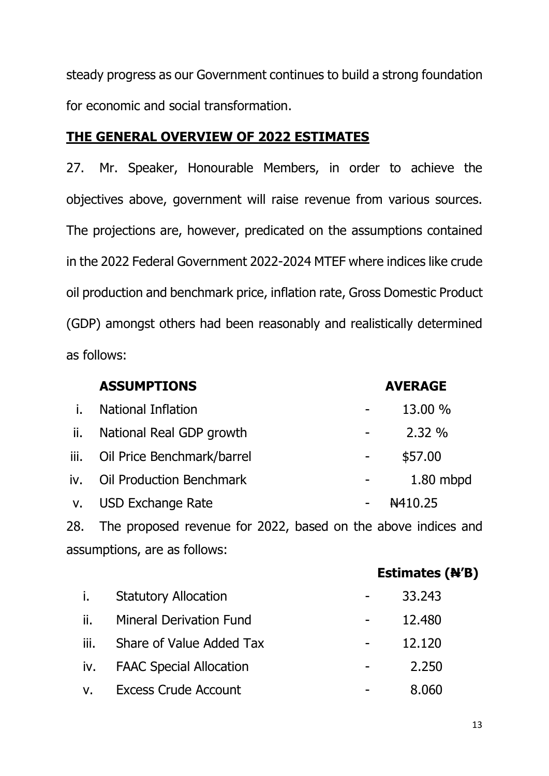steady progress as our Government continues to build a strong foundation for economic and social transformation.

# **THE GENERAL OVERVIEW OF 2022 ESTIMATES**

27. Mr. Speaker, Honourable Members, in order to achieve the objectives above, government will raise revenue from various sources. The projections are, however, predicated on the assumptions contained in the 2022 Federal Government 2022-2024 MTEF where indices like crude oil production and benchmark price, inflation rate, Gross Domestic Product (GDP) amongst others had been reasonably and realistically determined as follows:

|      | <b>ASSUMPTIONS</b>              | <b>AVERAGE</b>      |
|------|---------------------------------|---------------------|
| İ.   | <b>National Inflation</b>       | 13.00 %             |
| ii.  | National Real GDP growth        | 2.32%               |
| iii. | Oil Price Benchmark/barrel      | \$57.00             |
| iv.  | <b>Oil Production Benchmark</b> | $1.80$ mbpd         |
|      | v. USD Exchange Rate            | <del>N</del> 410.25 |
|      |                                 |                     |

28. The proposed revenue for 2022, based on the above indices and assumptions, are as follows:

|      |                                | Estimates (N'B)                   |  |
|------|--------------------------------|-----------------------------------|--|
| i.   | <b>Statutory Allocation</b>    | 33.243                            |  |
| ii.  | <b>Mineral Derivation Fund</b> | 12,480                            |  |
| iii. | Share of Value Added Tax       | 12.120                            |  |
|      | iv. FAAC Special Allocation    | 2.250<br>$\overline{\phantom{a}}$ |  |
|      | v. Excess Crude Account        | 8.060                             |  |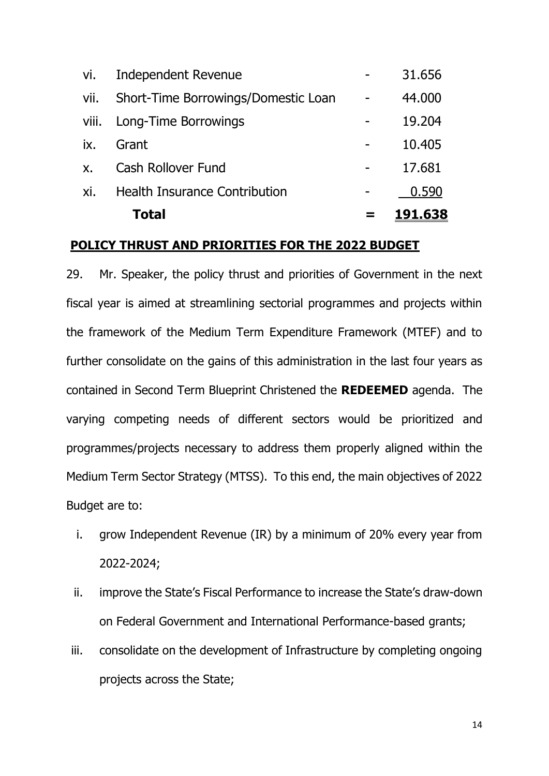|               | Total                                | <u>191.638</u> |
|---------------|--------------------------------------|----------------|
| xi.           | <b>Health Insurance Contribution</b> | 0.590          |
| $X_{\bullet}$ | <b>Cash Rollover Fund</b>            | 17.681         |
| ix.           | Grant                                | 10.405         |
|               | viii. Long-Time Borrowings           | 19,204         |
| vii.          | Short-Time Borrowings/Domestic Loan  | 44.000         |
| vi.           | <b>Independent Revenue</b>           | 31.656         |

#### **POLICY THRUST AND PRIORITIES FOR THE 2022 BUDGET**

29. Mr. Speaker, the policy thrust and priorities of Government in the next fiscal year is aimed at streamlining sectorial programmes and projects within the framework of the Medium Term Expenditure Framework (MTEF) and to further consolidate on the gains of this administration in the last four years as contained in Second Term Blueprint Christened the **REDEEMED** agenda. The varying competing needs of different sectors would be prioritized and programmes/projects necessary to address them properly aligned within the Medium Term Sector Strategy (MTSS). To this end, the main objectives of 2022 Budget are to:

- i. grow Independent Revenue (IR) by a minimum of 20% every year from 2022-2024;
- ii. improve the State's Fiscal Performance to increase the State's draw-down on Federal Government and International Performance-based grants;
- iii. consolidate on the development of Infrastructure by completing ongoing projects across the State;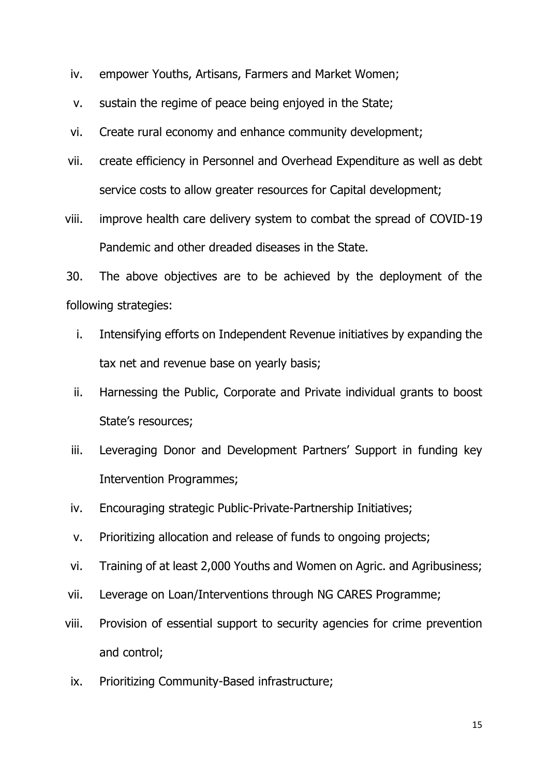- iv. empower Youths, Artisans, Farmers and Market Women;
- v. sustain the regime of peace being enjoyed in the State;
- vi. Create rural economy and enhance community development;
- vii. create efficiency in Personnel and Overhead Expenditure as well as debt service costs to allow greater resources for Capital development;

viii. improve health care delivery system to combat the spread of COVID-19 Pandemic and other dreaded diseases in the State.

30. The above objectives are to be achieved by the deployment of the following strategies:

- i. Intensifying efforts on Independent Revenue initiatives by expanding the tax net and revenue base on yearly basis;
- ii. Harnessing the Public, Corporate and Private individual grants to boost State's resources;
- iii. Leveraging Donor and Development Partners' Support in funding key Intervention Programmes;
- iv. Encouraging strategic Public-Private-Partnership Initiatives;
- v. Prioritizing allocation and release of funds to ongoing projects;
- vi. Training of at least 2,000 Youths and Women on Agric. and Agribusiness;
- vii. Leverage on Loan/Interventions through NG CARES Programme;
- viii. Provision of essential support to security agencies for crime prevention and control;
- ix. Prioritizing Community-Based infrastructure;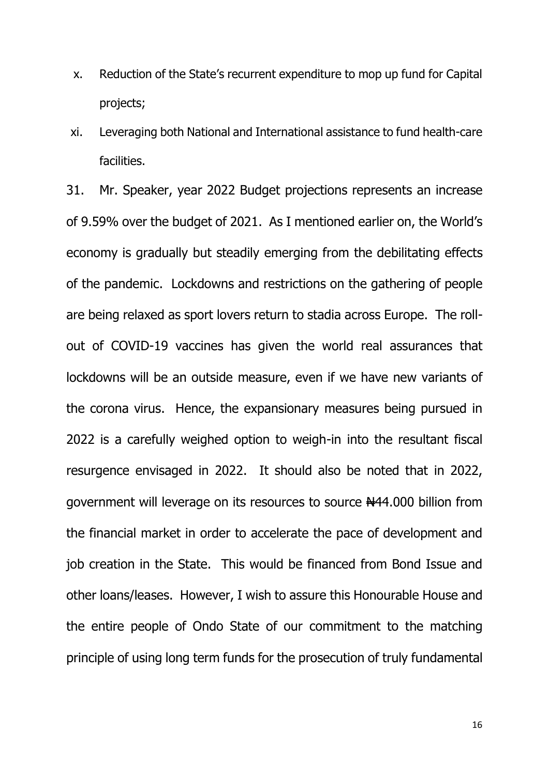- x. Reduction of the State's recurrent expenditure to mop up fund for Capital projects;
- xi. Leveraging both National and International assistance to fund health-care facilities.

31. Mr. Speaker, year 2022 Budget projections represents an increase of 9.59% over the budget of 2021. As I mentioned earlier on, the World's economy is gradually but steadily emerging from the debilitating effects of the pandemic. Lockdowns and restrictions on the gathering of people are being relaxed as sport lovers return to stadia across Europe. The rollout of COVID-19 vaccines has given the world real assurances that lockdowns will be an outside measure, even if we have new variants of the corona virus. Hence, the expansionary measures being pursued in 2022 is a carefully weighed option to weigh-in into the resultant fiscal resurgence envisaged in 2022. It should also be noted that in 2022, government will leverage on its resources to source N44.000 billion from the financial market in order to accelerate the pace of development and job creation in the State. This would be financed from Bond Issue and other loans/leases. However, I wish to assure this Honourable House and the entire people of Ondo State of our commitment to the matching principle of using long term funds for the prosecution of truly fundamental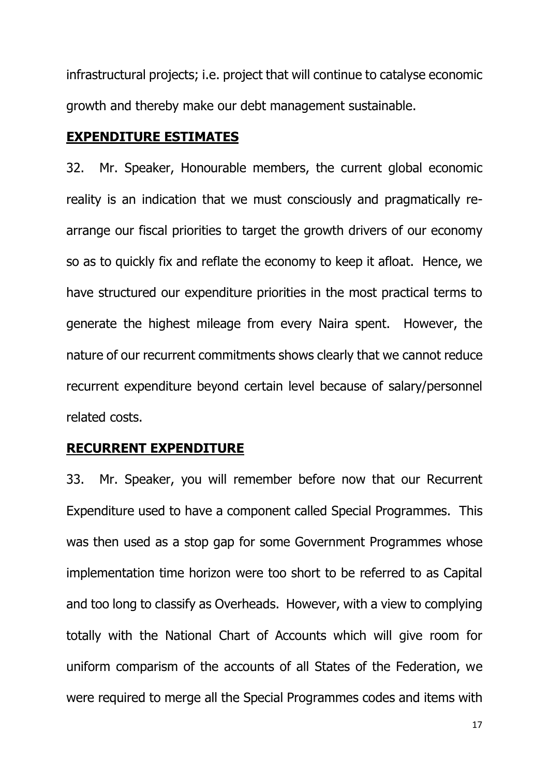infrastructural projects; i.e. project that will continue to catalyse economic growth and thereby make our debt management sustainable.

### **EXPENDITURE ESTIMATES**

32. Mr. Speaker, Honourable members, the current global economic reality is an indication that we must consciously and pragmatically rearrange our fiscal priorities to target the growth drivers of our economy so as to quickly fix and reflate the economy to keep it afloat. Hence, we have structured our expenditure priorities in the most practical terms to generate the highest mileage from every Naira spent. However, the nature of our recurrent commitments shows clearly that we cannot reduce recurrent expenditure beyond certain level because of salary/personnel related costs.

# **RECURRENT EXPENDITURE**

33. Mr. Speaker, you will remember before now that our Recurrent Expenditure used to have a component called Special Programmes. This was then used as a stop gap for some Government Programmes whose implementation time horizon were too short to be referred to as Capital and too long to classify as Overheads. However, with a view to complying totally with the National Chart of Accounts which will give room for uniform comparism of the accounts of all States of the Federation, we were required to merge all the Special Programmes codes and items with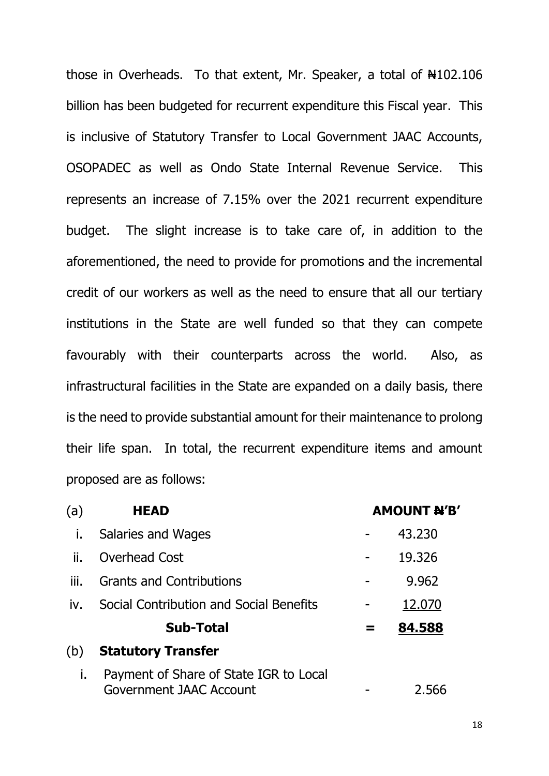those in Overheads. To that extent, Mr. Speaker, a total of  $\text{H}102.106$ billion has been budgeted for recurrent expenditure this Fiscal year. This is inclusive of Statutory Transfer to Local Government JAAC Accounts, OSOPADEC as well as Ondo State Internal Revenue Service. This represents an increase of 7.15% over the 2021 recurrent expenditure budget. The slight increase is to take care of, in addition to the aforementioned, the need to provide for promotions and the incremental credit of our workers as well as the need to ensure that all our tertiary institutions in the State are well funded so that they can compete favourably with their counterparts across the world. Also, as infrastructural facilities in the State are expanded on a daily basis, there is the need to provide substantial amount for their maintenance to prolong their life span. In total, the recurrent expenditure items and amount proposed are as follows:

| (a)  | <b>HEAD</b>                                                       |   | <b>AMOUNT N'B'</b> |  |
|------|-------------------------------------------------------------------|---|--------------------|--|
| i.   | Salaries and Wages                                                |   | 43.230             |  |
| ii.  | Overhead Cost                                                     |   | 19.326             |  |
| iii. | <b>Grants and Contributions</b>                                   |   | 9.962              |  |
| iv.  | Social Contribution and Social Benefits                           |   | 12.070             |  |
|      | <b>Sub-Total</b>                                                  | = | 84.588             |  |
| (b)  | <b>Statutory Transfer</b>                                         |   |                    |  |
| i.   | Payment of Share of State IGR to Local<br>Government JAAC Account |   | 2.566              |  |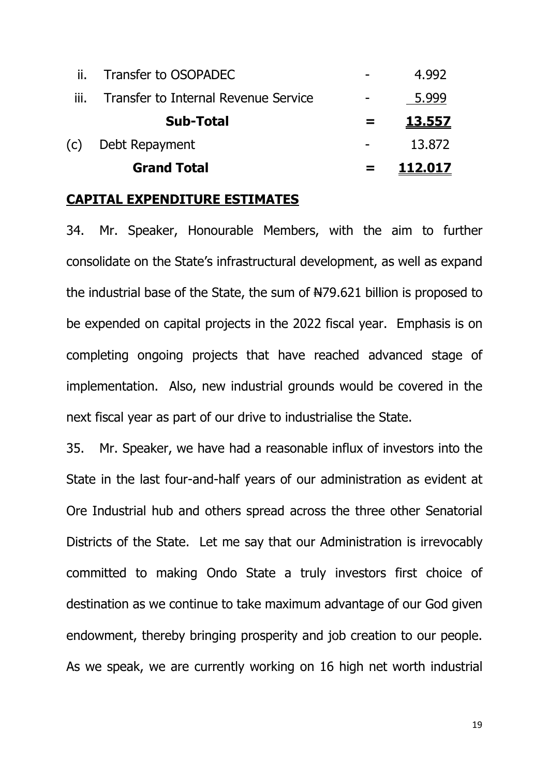|      | <b>Grand Total</b>                   | 112.017 |
|------|--------------------------------------|---------|
| (c)  | Debt Repayment                       | 13.872  |
|      | <b>Sub-Total</b>                     | 13.557  |
| III. | Transfer to Internal Revenue Service | 5.999   |
|      | Transfer to OSOPADEC                 | 4.992   |

### **CAPITAL EXPENDITURE ESTIMATES**

34. Mr. Speaker, Honourable Members, with the aim to further consolidate on the State's infrastructural development, as well as expand the industrial base of the State, the sum of  $\frac{127}{100}$  billion is proposed to be expended on capital projects in the 2022 fiscal year. Emphasis is on completing ongoing projects that have reached advanced stage of implementation. Also, new industrial grounds would be covered in the next fiscal year as part of our drive to industrialise the State.

35. Mr. Speaker, we have had a reasonable influx of investors into the State in the last four-and-half years of our administration as evident at Ore Industrial hub and others spread across the three other Senatorial Districts of the State. Let me say that our Administration is irrevocably committed to making Ondo State a truly investors first choice of destination as we continue to take maximum advantage of our God given endowment, thereby bringing prosperity and job creation to our people. As we speak, we are currently working on 16 high net worth industrial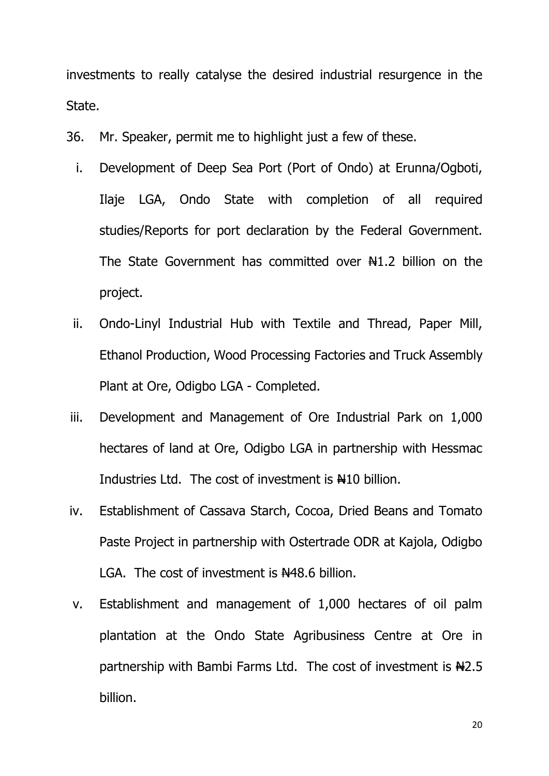investments to really catalyse the desired industrial resurgence in the State.

- 36. Mr. Speaker, permit me to highlight just a few of these.
	- i. Development of Deep Sea Port (Port of Ondo) at Erunna/Ogboti, Ilaje LGA, Ondo State with completion of all required studies/Reports for port declaration by the Federal Government. The State Government has committed over  $\frac{1}{2}$  billion on the project.
	- ii. Ondo-Linyl Industrial Hub with Textile and Thread, Paper Mill, Ethanol Production, Wood Processing Factories and Truck Assembly Plant at Ore, Odigbo LGA - Completed.
- iii. Development and Management of Ore Industrial Park on 1,000 hectares of land at Ore, Odigbo LGA in partnership with Hessmac Industries Ltd. The cost of investment is  $\#10$  billion.
- iv. Establishment of Cassava Starch, Cocoa, Dried Beans and Tomato Paste Project in partnership with Ostertrade ODR at Kajola, Odigbo LGA. The cost of investment is  $N48.6$  billion.
- v. Establishment and management of 1,000 hectares of oil palm plantation at the Ondo State Agribusiness Centre at Ore in partnership with Bambi Farms Ltd. The cost of investment is  $H<sub>2.5</sub>$ billion.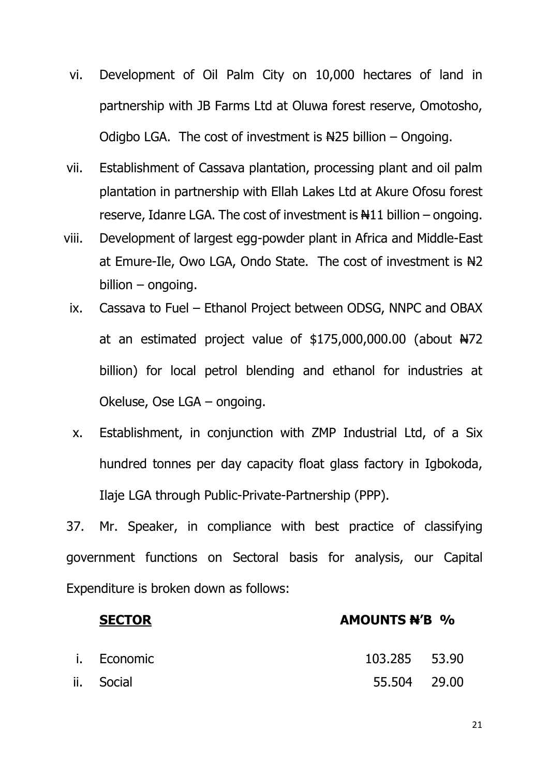- vi. Development of Oil Palm City on 10,000 hectares of land in partnership with JB Farms Ltd at Oluwa forest reserve, Omotosho, Odigbo LGA. The cost of investment is  $\frac{125}{100}$  billion – Ongoing.
- vii. Establishment of Cassava plantation, processing plant and oil palm plantation in partnership with Ellah Lakes Ltd at Akure Ofosu forest reserve, Idanre LGA. The cost of investment is  $\#11$  billion – ongoing.
- viii. Development of largest egg-powder plant in Africa and Middle-East at Emure-Ile, Owo LGA, Ondo State. The cost of investment is  $H2$ billion – ongoing.
	- ix. Cassava to Fuel Ethanol Project between ODSG, NNPC and OBAX at an estimated project value of  $$175,000,000.00$  (about  $H72$ billion) for local petrol blending and ethanol for industries at Okeluse, Ose LGA – ongoing.
	- x. Establishment, in conjunction with ZMP Industrial Ltd, of a Six hundred tonnes per day capacity float glass factory in Igbokoda, Ilaje LGA through Public-Private-Partnership (PPP).

37. Mr. Speaker, in compliance with best practice of classifying government functions on Sectoral basis for analysis, our Capital Expenditure is broken down as follows:

| <b>SECTOR</b> | <b>AMOUNTS N'B %</b> |  |  |
|---------------|----------------------|--|--|
| i. Economic   | 103.285 53.90        |  |  |
| ii. Social    | 55.504 29.00         |  |  |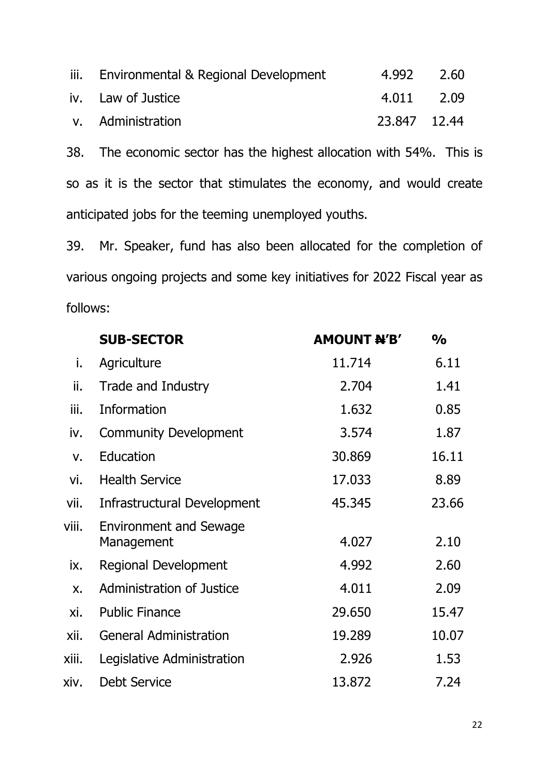| iii. Environmental & Regional Development | 4.992 2.60   |  |
|-------------------------------------------|--------------|--|
| iv. Law of Justice                        | 4.011 2.09   |  |
| v. Administration                         | 23.847 12.44 |  |

38. The economic sector has the highest allocation with 54%. This is so as it is the sector that stimulates the economy, and would create anticipated jobs for the teeming unemployed youths.

39. Mr. Speaker, fund has also been allocated for the completion of various ongoing projects and some key initiatives for 2022 Fiscal year as follows:

|               | <b>SUB-SECTOR</b>                           | <b>AMOUNT N'B'</b> | $\frac{1}{2}$ |
|---------------|---------------------------------------------|--------------------|---------------|
| i.            | Agriculture                                 | 11.714             | 6.11          |
| ii.           | Trade and Industry                          | 2.704              | 1.41          |
| iii.          | Information                                 | 1.632              | 0.85          |
| iv.           | <b>Community Development</b>                | 3.574              | 1.87          |
| $V_{\bullet}$ | Education                                   | 30.869             | 16.11         |
| vi.           | <b>Health Service</b>                       | 17.033             | 8.89          |
| vii.          | Infrastructural Development                 | 45.345             | 23.66         |
| viii.         | <b>Environment and Sewage</b><br>Management | 4.027              | 2.10          |
| ix.           | <b>Regional Development</b>                 | 4.992              | 2.60          |
| $X_{\bullet}$ | <b>Administration of Justice</b>            | 4.011              | 2.09          |
| xi.           | <b>Public Finance</b>                       | 29.650             | 15.47         |
| xii.          | <b>General Administration</b>               | 19.289             | 10.07         |
| xiii.         | Legislative Administration                  | 2.926              | 1.53          |
| xiv.          | <b>Debt Service</b>                         | 13.872             | 7.24          |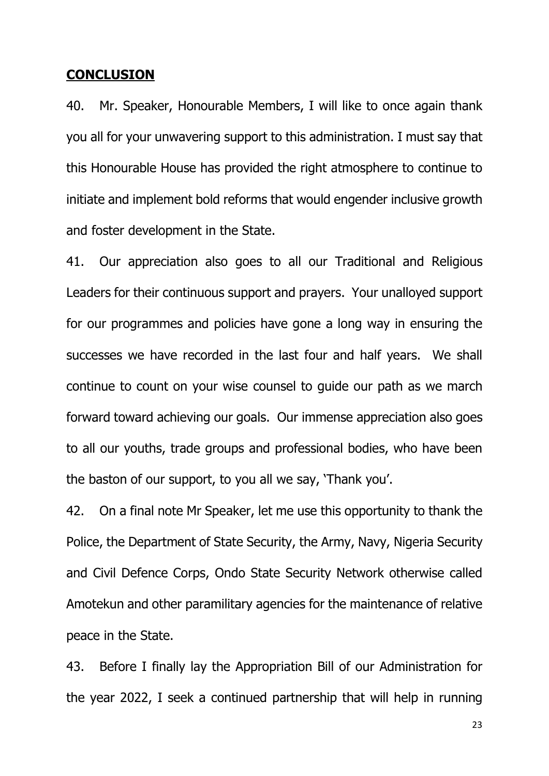### **CONCLUSION**

40. Mr. Speaker, Honourable Members, I will like to once again thank you all for your unwavering support to this administration. I must say that this Honourable House has provided the right atmosphere to continue to initiate and implement bold reforms that would engender inclusive growth and foster development in the State.

41. Our appreciation also goes to all our Traditional and Religious Leaders for their continuous support and prayers. Your unalloyed support for our programmes and policies have gone a long way in ensuring the successes we have recorded in the last four and half years. We shall continue to count on your wise counsel to guide our path as we march forward toward achieving our goals. Our immense appreciation also goes to all our youths, trade groups and professional bodies, who have been the baston of our support, to you all we say, 'Thank you'.

42. On a final note Mr Speaker, let me use this opportunity to thank the Police, the Department of State Security, the Army, Navy, Nigeria Security and Civil Defence Corps, Ondo State Security Network otherwise called Amotekun and other paramilitary agencies for the maintenance of relative peace in the State.

43. Before I finally lay the Appropriation Bill of our Administration for the year 2022, I seek a continued partnership that will help in running